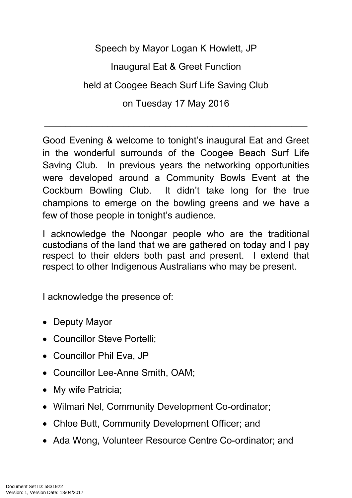Speech by Mayor Logan K Howlett, JP

Inaugural Eat & Greet Function

held at Coogee Beach Surf Life Saving Club

on Tuesday 17 May 2016

 $\mathcal{L}_\text{G}$  , and the contribution of the contribution of the contribution of the contribution of the contribution of the contribution of the contribution of the contribution of the contribution of the contribution of t

Good Evening & welcome to tonight's inaugural Eat and Greet in the wonderful surrounds of the Coogee Beach Surf Life Saving Club. In previous years the networking opportunities were developed around a Community Bowls Event at the Cockburn Bowling Club. It didn't take long for the true champions to emerge on the bowling greens and we have a few of those people in tonight's audience.

I acknowledge the Noongar people who are the traditional custodians of the land that we are gathered on today and I pay respect to their elders both past and present. I extend that respect to other Indigenous Australians who may be present.

I acknowledge the presence of:

- Deputy Mayor
- Councillor Steve Portelli:
- Councillor Phil Eva, JP
- Councillor Lee-Anne Smith, OAM;
- My wife Patricia;
- Wilmari Nel, Community Development Co-ordinator;
- Chloe Butt, Community Development Officer; and
- Ada Wong, Volunteer Resource Centre Co-ordinator; and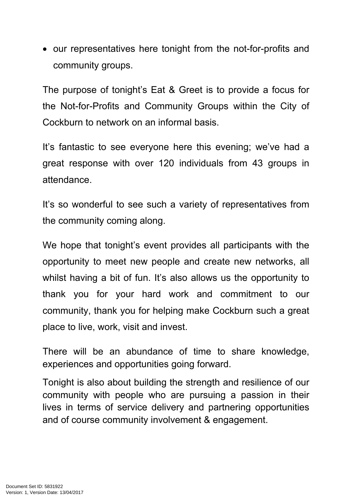• our representatives here tonight from the not-for-profits and community groups.

The purpose of tonight's Eat & Greet is to provide a focus for the Not-for-Profits and Community Groups within the City of Cockburn to network on an informal basis.

It's fantastic to see everyone here this evening; we've had a great response with over 120 individuals from 43 groups in attendance.

It's so wonderful to see such a variety of representatives from the community coming along.

We hope that tonight's event provides all participants with the opportunity to meet new people and create new networks, all whilst having a bit of fun. It's also allows us the opportunity to thank you for your hard work and commitment to our community, thank you for helping make Cockburn such a great place to live, work, visit and invest.

There will be an abundance of time to share knowledge, experiences and opportunities going forward.

Tonight is also about building the strength and resilience of our community with people who are pursuing a passion in their lives in terms of service delivery and partnering opportunities and of course community involvement & engagement.